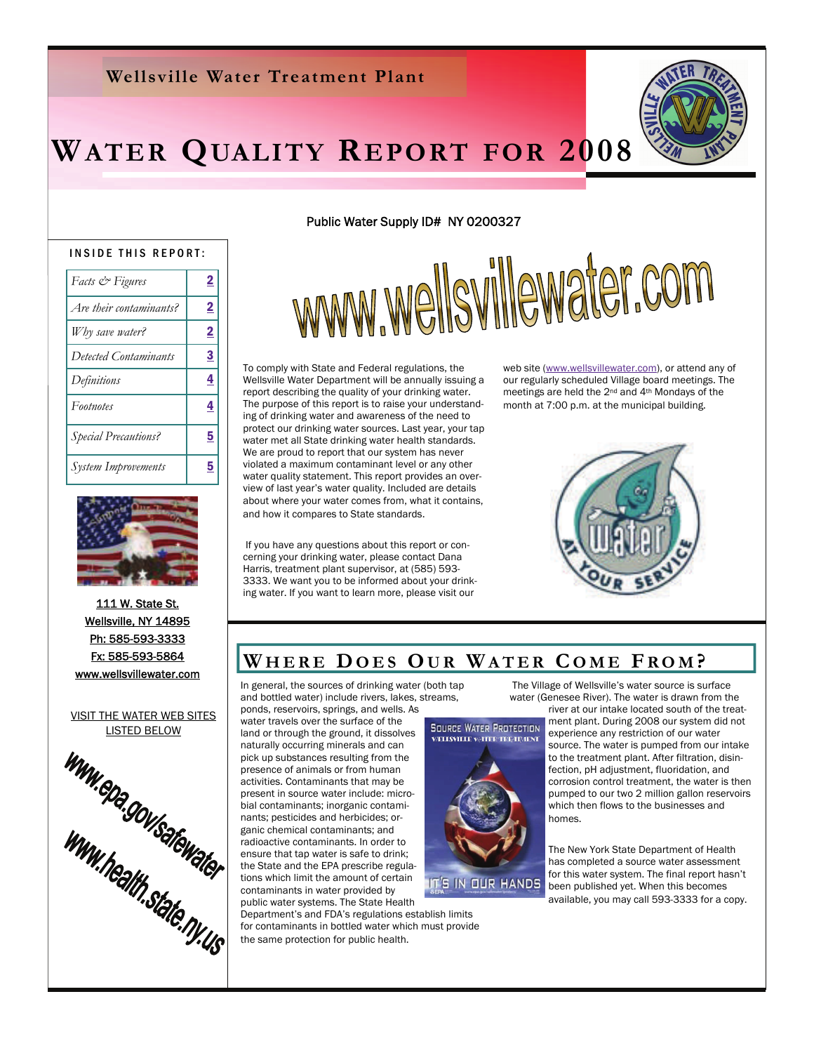### **Wellsville Water Treatment Plant**

# **WATER QUALITY REPORT FOR 2008**

#### INSIDE THIS REPORT:

| <i>Facts</i> & <i>Figures</i> | $\overline{2}$ |
|-------------------------------|----------------|
| Are their contaminants?       | $\overline{2}$ |
| Why save water?               | $\overline{2}$ |
| Detected Contaminants         | <u>3</u>       |
| Definitions                   | 4              |
| Footnotes                     | 4              |
| <b>Special Precautions?</b>   | 5              |
| <b>System Improvements</b>    | 5              |



111 W. State St. Wellsville, NY 14895 Ph: 585-593-3333 Fx: 585-593-5864 www.wellsvillewater.com



#### Public Water Supply ID# NY 0200327

www.wellsvillewater.com

To comply with State and Federal regulations, the Wellsville Water Department will be annually issuing a report describing the quality of your drinking water. The purpose of this report is to raise your understanding of drinking water and awareness of the need to protect our drinking water sources. Last year, your tap water met all State drinking water health standards. We are proud to report that our system has never violated a maximum contaminant level or any other water quality statement. This report provides an overview of last year's water quality. Included are details about where your water comes from, what it contains, and how it compares to State standards.

 If you have any questions about this report or concerning your drinking water, please contact Dana Harris, treatment plant supervisor, at (585) 593- 3333. We want you to be informed about your drinking water. If you want to learn more, please visit our

web site ([www.wellsvillewater.com](http://www.wellsvillewater.com/)), or attend any of our regularly scheduled Village board meetings. The meetings are held the 2nd and 4th Mondays of the month at 7:00 p.m. at the municipal building.



### WHERE DOES OUR WATER COME FROM?

In general, the sources of drinking water (both tap and bottled water) include rivers, lakes, streams,

ponds, reservoirs, springs, and wells. As water travels over the surface of the naturally occurring minerals and can pick up substances resulting from the presence of animals or from human .<br>activities. Contaminants that may be present in source water include: microbial contaminants; inorganic contaminants; pesticides and herbicides; organic chemical contaminants; and radioactive contaminants. In order to ensure that tap water is safe to drink; the State and the EPA prescribe regulations which limit the amount of certain contaminants in water provided by public water systems. The State Health

Department's and FDA's regulations establish limits for contaminants in bottled water which must provide the same protection for public health.

 The Village of Wellsville's water source is surface water (Genesee River). The water is drawn from the



river at our intake located south of the treatment plant. During 2008 our system did not

experience any restriction of our water source. The water is pumped from our intake to the treatment plant. After filtration, disinfection, pH adjustment, fluoridation, and corrosion control treatment, the water is then pumped to our two 2 million gallon reservoirs which then flows to the businesses and homes.

The New York State Department of Health has completed a source water assessment for this water system. The final report hasn't been published yet. When this becomes available, you may call 593-3333 for a copy.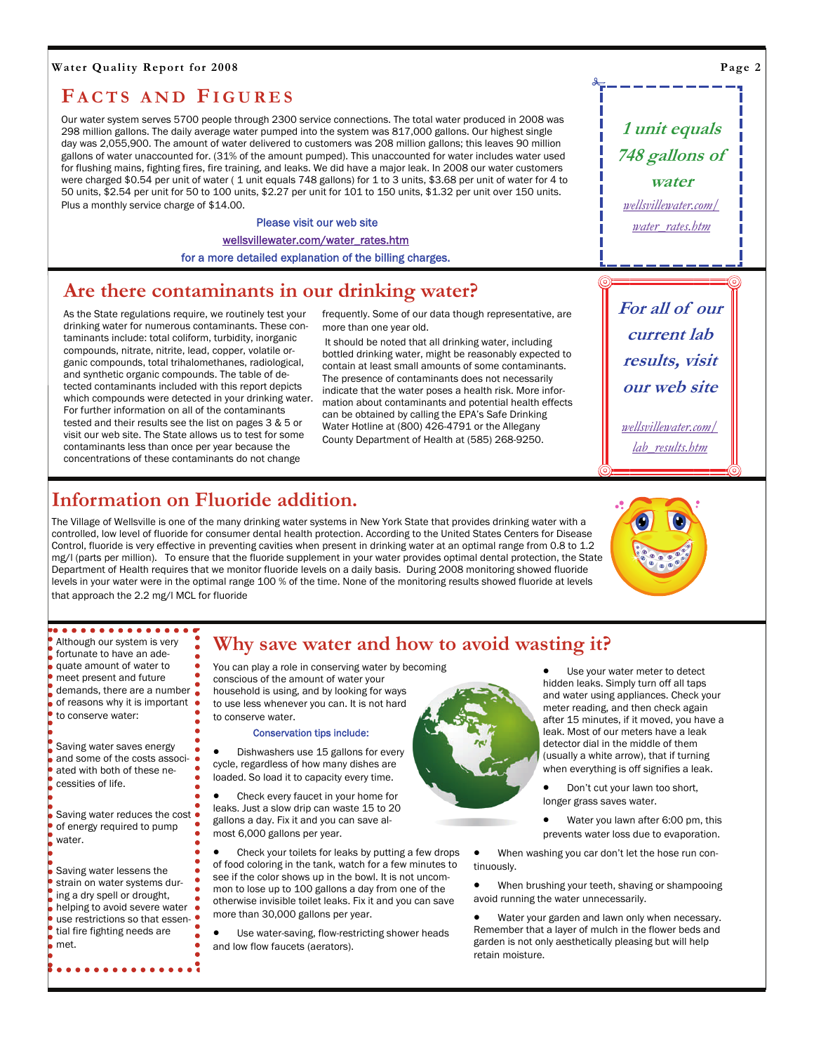#### <span id="page-1-0"></span>**Water Quality Report for 2008**

### **F ACTS AND FIGURES**

Our water system serves 5700 people through 2300 service connections. The total water produced in 2008 was 298 million gallons. The daily average water pumped into the system was 817,000 gallons. Our highest single day was 2,055,900. The amount of water delivered to customers was 208 million gallons; this leaves 90 million gallons of water unaccounted for. (31% of the amount pumped). This unaccounted for water includes water used for flushing mains, fighting fires, fire training, and leaks. We did have a major leak. In 2008 our water customers were charged \$0.54 per unit of water (1 unit equals 748 gallons) for 1 to 3 units, \$3.68 per unit of water for 4 to 50 units, \$2.54 per unit for 50 to 100 units, \$2.27 per unit for 101 to 150 units, \$1.32 per unit over 150 units. Plus a monthly service charge of \$14.00.

#### Please visit our web site

[wellsvillewater.com/water\\_rates.htm](http://www.wellsvillewater.com/water_rates.htm)

for a more detailed explanation of the billing charges.

### **Are there contaminants in our drinking water?**

As the State regulations require, we routinely test your drinking water for numerous contaminants. These contaminants include: total coliform, turbidity, inorganic compounds, nitrate, nitrite, lead, copper, volatile organic compounds, total trihalomethanes, radiological, and synthetic organic compounds. The table of detected contaminants included with this report depicts which compounds were detected in your drinking water. For further information on all of the contaminants tested and their results see the list on pages 3 & 5 or visit our web site. The State allows us to test for some contaminants less than once per year because the concentrations of these contaminants do not change

frequently. Some of our data though representative, are more than one year old.

 It should be noted that all drinking water, including bottled drinking water, might be reasonably expected to contain at least small amounts of some contaminants. The presence of contaminants does not necessarily indicate that the water poses a health risk. More information about contaminants and potential health effects can be obtained by calling the EPA's Safe Drinking Water Hotline at (800) 426-4791 or the Allegany County Department of Health at (585) 268-9250.

**For all of our current lab results, visit our web site**  *[wellsvillewater.com/](http://www.wellsvillewater.com/lab_results.htm)*

**1 unit equals 748 gallons of water**  *[wellsvillewater.com/](http://www.wellsvillewater.com/water_rates.htm) [water\\_rates.htm](http://www.wellsvillewater.com/water_rates.htm)*

*[lab\\_results.htm](http://www.wellsvillewater.com/lab_results.htm)*

### **Information on Fluoride addition.**

The Village of Wellsville is one of the many drinking water systems in New York State that provides drinking water with a controlled, low level of fluoride for consumer dental health protection. According to the United States Centers for Disease Control, fluoride is very effective in preventing cavities when present in drinking water at an optimal range from 0.8 to 1.2 mg/I (parts per million). To ensure that the fluoride supplement in your water provides optimal dental protection, the State Department of Health requires that we monitor fluoride levels on a daily basis. During 2008 monitoring showed fluoride levels in your water were in the optimal range 100 % of the time. None of the monitoring results showed fluoride at levels that approach the 2.2 mg/l MCL for fluoride



| Although our system is very<br>fortunate to have an ade-<br>quate amount of water to<br>meet present and future<br>demands, there are a number<br>ä<br>of reasons why it is important<br>to conserve water:<br>ō              |  |
|-------------------------------------------------------------------------------------------------------------------------------------------------------------------------------------------------------------------------------|--|
| Saving water saves energy<br>$\bullet$<br>$\bullet$<br>and some of the costs associ-<br>ated with both of these ne-<br>۵<br>cessities of life.                                                                                |  |
| Saving water reduces the cost<br>of energy required to pump<br>water.                                                                                                                                                         |  |
| Saving water lessens the<br>strain on water systems dur-<br>ing a dry spell or drought,<br>helping to avoid severe water<br>$\bullet$<br>$\bullet$<br>use restrictions so that essen-<br>tial fire fighting needs are<br>met. |  |

### **Why save water and how to avoid wasting it?**

You can play a role in conserving water by becoming conscious of the amount of water your household is using, and by looking for ways to use less whenever you can. It is not hard to conserve water.

#### Conservation tips include:

• Dishwashers use 15 gallons for every cycle, regardless of how many dishes are loaded. So load it to capacity every time.

• Check every faucet in your home for leaks. Just a slow drip can waste 15 to 20 gallons a day. Fix it and you can save almost 6,000 gallons per year.

• Check your toilets for leaks by putting a few drops of food coloring in the tank, watch for a few minutes to see if the color shows up in the bowl. It is not uncommon to lose up to 100 gallons a day from one of the otherwise invisible toilet leaks. Fix it and you can save more than 30,000 gallons per year.

Use water-saving, flow-restricting shower heads and low flow faucets (aerators).



Use your water meter to detect hidden leaks. Simply turn off all taps and water using appliances. Check your meter reading, and then check again after 15 minutes, if it moved, you have a leak. Most of our meters have a leak detector dial in the middle of them (usually a white arrow), that if turning when everything is off signifies a leak.

• Don't cut your lawn too short, longer grass saves water.

• Water you lawn after 6:00 pm, this prevents water loss due to evaporation.

• When washing you car don't let the hose run continuously.

• When brushing your teeth, shaving or shampooing avoid running the water unnecessarily.

Water your garden and lawn only when necessary. Remember that a layer of mulch in the flower beds and garden is not only aesthetically pleasing but will help retain moisture.

**Page 2**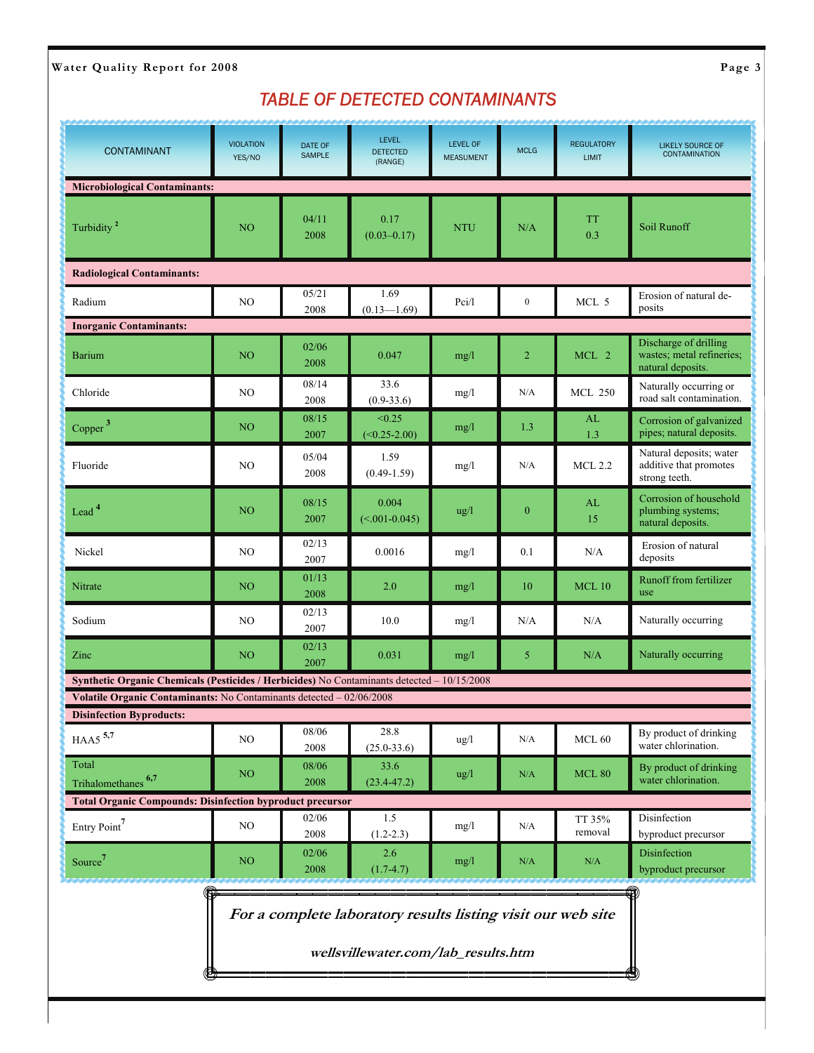### <span id="page-2-0"></span>Water Quality Report for 2008 **Page 3**

### *TABLE OF DETECTED CONTAMINANTS*

| <b>CONTAMINANT</b>                                                                          | <b>VIOLATION</b><br>YES/NO | <b>DATE OF</b><br><b>SAMPLE</b> | <b>LEVEL</b><br><b>DETECTED</b><br>(RANGE)                                                          | <b>LEVEL OF</b><br><b>MEASUMENT</b> | <b>MCLG</b>      | <b>REGULATORY</b><br><b>LIMIT</b> | <b>LIKELY SOURCE OF</b><br><b>CONTAMINATION</b>                         |  |  |  |
|---------------------------------------------------------------------------------------------|----------------------------|---------------------------------|-----------------------------------------------------------------------------------------------------|-------------------------------------|------------------|-----------------------------------|-------------------------------------------------------------------------|--|--|--|
| <b>Microbiological Contaminants:</b>                                                        |                            |                                 |                                                                                                     |                                     |                  |                                   |                                                                         |  |  |  |
| Turbidity <sup>2</sup>                                                                      | N <sub>O</sub>             | 04/11<br>2008                   | 0.17<br>$(0.03 - 0.17)$                                                                             | <b>NTU</b>                          | N/A              | <b>TT</b><br>0.3                  | Soil Runoff                                                             |  |  |  |
| <b>Radiological Contaminants:</b>                                                           |                            |                                 |                                                                                                     |                                     |                  |                                   |                                                                         |  |  |  |
| Radium                                                                                      | NO                         | 05/21<br>2008                   | 1.69<br>$(0.13 - 1.69)$                                                                             | Pci/l                               | $\boldsymbol{0}$ | MCL 5                             | Erosion of natural de-<br>posits                                        |  |  |  |
| <b>Inorganic Contaminants:</b>                                                              |                            |                                 |                                                                                                     |                                     |                  |                                   |                                                                         |  |  |  |
| <b>Barium</b>                                                                               | N <sub>O</sub>             | 02/06<br>2008                   | 0.047                                                                                               | mg/l                                | $\overline{2}$   | MCL 2                             | Discharge of drilling<br>wastes; metal refineries;<br>natural deposits. |  |  |  |
| Chloride                                                                                    | NO                         | 08/14<br>2008                   | 33.6<br>$(0.9 - 33.6)$                                                                              | mg/1                                | N/A              | <b>MCL 250</b>                    | Naturally occurring or<br>road salt contamination.                      |  |  |  |
| Copper <sup>3</sup>                                                                         | N <sub>O</sub>             | 08/15<br>2007                   | < 0.25<br>$(<0.25-2.00)$                                                                            | mg/l                                | 1.3              | AL<br>1.3                         | Corrosion of galvanized<br>pipes; natural deposits.                     |  |  |  |
| Fluoride                                                                                    | NO                         | 05/04<br>2008                   | 1.59<br>$(0.49 - 1.59)$                                                                             | mg/l                                | N/A              | <b>MCL 2.2</b>                    | Natural deposits; water<br>additive that promotes<br>strong teeth.      |  |  |  |
| Lead <sup>4</sup>                                                                           | N <sub>O</sub>             | 08/15<br>2007                   | 0.004<br>$(<0.01-0.045)$                                                                            | $\frac{u g}{l}$                     | $\boldsymbol{0}$ | AL<br>15                          | Corrosion of household<br>plumbing systems;<br>natural deposits.        |  |  |  |
| Nickel                                                                                      | NO                         | 02/13<br>2007                   | 0.0016                                                                                              | mg/l                                | 0.1              | N/A                               | Erosion of natural<br>deposits                                          |  |  |  |
| Nitrate                                                                                     | N <sub>O</sub>             | 01/13<br>2008                   | 2.0                                                                                                 | mg/l                                | 10               | <b>MCL10</b>                      | Runoff from fertilizer<br>use                                           |  |  |  |
| Sodium                                                                                      | N <sub>O</sub>             | 02/13<br>2007                   | 10.0                                                                                                | mg/l                                | N/A              | N/A                               | Naturally occurring                                                     |  |  |  |
| Zinc                                                                                        | NO <sub></sub>             | 02/13<br>2007                   | 0.031                                                                                               | mg/l                                | 5                | N/A                               | Naturally occurring                                                     |  |  |  |
| Synthetic Organic Chemicals (Pesticides / Herbicides) No Contaminants detected - 10/15/2008 |                            |                                 |                                                                                                     |                                     |                  |                                   |                                                                         |  |  |  |
| Volatile Organic Contaminants: No Contaminants detected - 02/06/2008                        |                            |                                 |                                                                                                     |                                     |                  |                                   |                                                                         |  |  |  |
| <b>Disinfection Byproducts:</b>                                                             |                            | 08/06                           | 28.8                                                                                                |                                     |                  |                                   | By product of drinking                                                  |  |  |  |
| HAA5 $5,7$                                                                                  | NO                         | 2008                            | $(25.0 - 33.6)$                                                                                     | ug/l                                | N/A              | MCL $60$                          | water chlorination.                                                     |  |  |  |
| Total<br>Trihalomethanes <sup>6,7</sup>                                                     | NO <sub>1</sub>            | 08/06<br>2008                   | 33.6<br>$(23.4 - 47.2)$                                                                             | ug/l                                | N/A              | <b>MCL 80</b>                     | By product of drinking<br>water chlorination.                           |  |  |  |
| <b>Total Organic Compounds: Disinfection byproduct precursor</b>                            |                            |                                 |                                                                                                     |                                     |                  |                                   |                                                                         |  |  |  |
| Entry Point <sup>7</sup>                                                                    | NO                         | 02/06<br>2008                   | 1.5<br>$(1.2 - 2.3)$                                                                                | mg/l                                | N/A              | TT 35%<br>removal                 | Disinfection<br>byproduct precursor                                     |  |  |  |
| Source <sup>7</sup>                                                                         | NO                         | 02/06<br>2008                   | 2.6<br>$(1.7-4.7)$                                                                                  | mg/l                                | N/A              | N/A                               | Disinfection<br>byproduct precursor                                     |  |  |  |
| ۰                                                                                           |                            |                                 | For a complete laboratory results listing visit our web site<br>wellsvillewater.com/lab_results.htm |                                     |                  |                                   |                                                                         |  |  |  |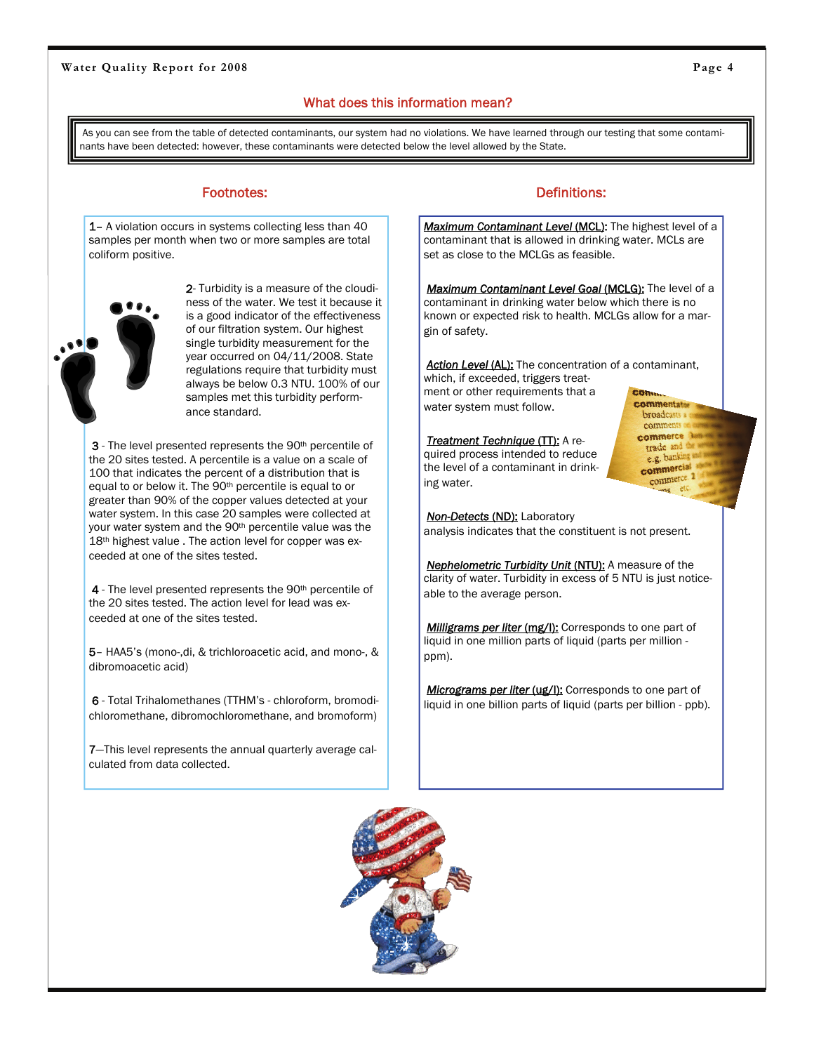#### <span id="page-3-0"></span>Water Quality Report for 2008 **Page 4 Page 4 Page 4 Page 4 Page 4 Page 4 Page 4 Page 4 Page 4 Page 4 Page 4 Page 4 Page 4 Page 4 Page 4 Page 4 Page 4 Page 4 Page 4 Page 4 Page 4 Pa**

### What does this information mean?

As you can see from the table of detected contaminants, our system had no violations. We have learned through our testing that some contaminants have been detected: however, these contaminants were detected below the level allowed by the State.

1– A violation occurs in systems collecting less than 40 samples per month when two or more samples are total coliform positive.

> 2- Turbidity is a measure of the cloudiness of the water. We test it because it is a good indicator of the effectiveness of our filtration system. Our highest single turbidity measurement for the year occurred on 04/11/2008. State regulations require that turbidity must always be below 0.3 NTU. 100% of our samples met this turbidity performance standard.

3 - The level presented represents the 90<sup>th</sup> percentile of the 20 sites tested. A percentile is a value on a scale of 100 that indicates the percent of a distribution that is equal to or below it. The 90th percentile is equal to or greater than 90% of the copper values detected at your water system. In this case 20 samples were collected at your water system and the 90<sup>th</sup> percentile value was the 18<sup>th</sup> highest value . The action level for copper was exceeded at one of the sites tested.

4 - The level presented represents the 90<sup>th</sup> percentile of the 20 sites tested. The action level for lead was exceeded at one of the sites tested.

5– HAA5's (mono-,di, & trichloroacetic acid, and mono-, & dibromoacetic acid)

6 - Total Trihalomethanes (TTHM's - chloroform, bromodichloromethane, dibromochloromethane, and bromoform)

7—This level represents the annual quarterly average calculated from data collected.

#### Footnotes: The Contract of Contract of Contract of Contract of Contract of Contract of Contract of Contract of Contract of Contract of Contract of Contract of Contract of Contract of Contract of Contract of Contract of Con

*Maximum Contaminant Level* (MCL): The highest level of a contaminant that is allowed in drinking water. MCLs are set as close to the MCLGs as feasible.

*Maximum Contaminant Level Goal* (MCLG): The level of a contaminant in drinking water below which there is no known or expected risk to health. MCLGs allow for a margin of safety.

**Action Level (AL):** The concentration of a contaminant, which, if exceeded, triggers treat-**CONN** 

ment or other requirements that a water system must follow.

**Treatment Technique (TT):** A required process intended to reduce the level of a contaminant in drinking water.

commerce trade ar e.g. banki commercial commerce.<sup>2</sup>  $ms<sup>0</sup>$ 

**commentator** broadcasts comn

*Non-Detects* (ND): Laboratory analysis indicates that the constituent is not present.

**Nephelometric Turbidity Unit (NTU):** A measure of the clarity of water. Turbidity in excess of 5 NTU is just noticeable to the average person.

*Milligrams per liter (mg/l)*: Corresponds to one part of liquid in one million parts of liquid (parts per million ppm).

**Micrograms per liter (ug/l):** Corresponds to one part of liquid in one billion parts of liquid (parts per billion - ppb).